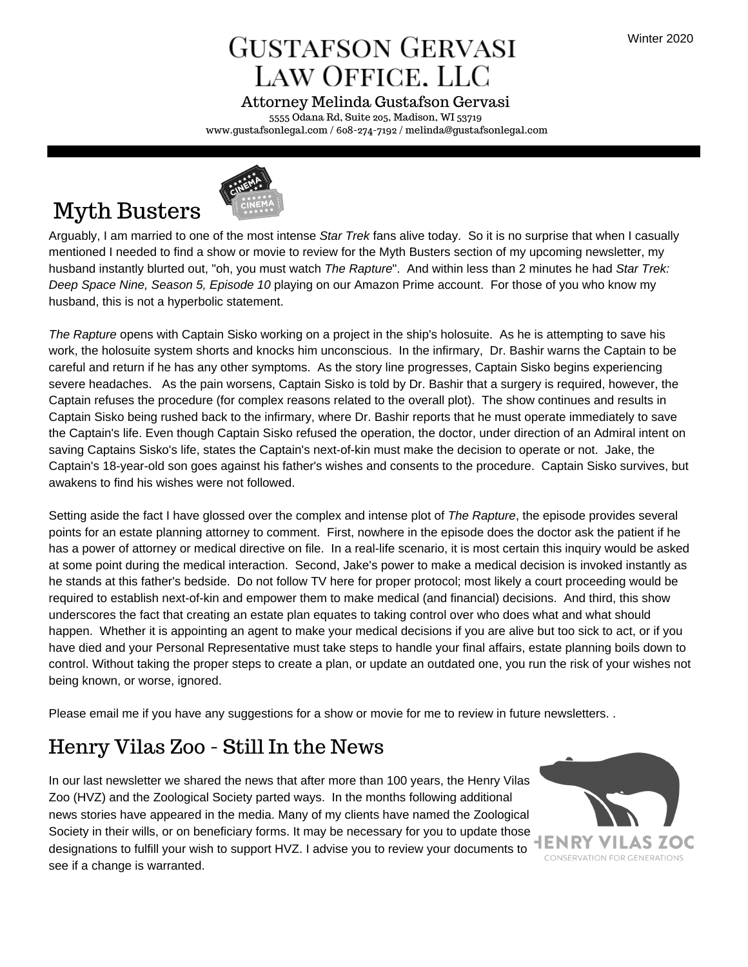## **GUSTAFSON GERVASI** LAW OFFICE. LLC

5555 Odana Rd, Suite 205, Madison, WI 53719 www.gustafsonlegal.com / 608-274-7192 / melinda@gustafsonlegal.com Attorney Melinda Gustafson Gervasi



## Myth Busters

Arguably, I am married to one of the most intense *Star Trek* fans alive today. So it is no surprise that when I casually mentioned I needed to find a show or movie to review for the Myth Busters section of my upcoming newsletter, my husband instantly blurted out, "oh, you must watch *The Rapture*". And within less than 2 minutes he had *Star Trek: Deep Space Nine, Season 5, Episode 10* playing on our Amazon Prime account. For those of you who know my husband, this is not a hyperbolic statement.

*The Rapture* opens with Captain Sisko working on a project in the ship's holosuite. As he is attempting to save his work, the holosuite system shorts and knocks him unconscious. In the infirmary, Dr. Bashir warns the Captain to be careful and return if he has any other symptoms. As the story line progresses, Captain Sisko begins experiencing severe headaches. As the pain worsens, Captain Sisko is told by Dr. Bashir that a surgery is required, however, the Captain refuses the procedure (for complex reasons related to the overall plot). The show continues and results in Captain Sisko being rushed back to the infirmary, where Dr. Bashir reports that he must operate immediately to save the Captain's life. Even though Captain Sisko refused the operation, the doctor, under direction of an Admiral intent on saving Captains Sisko's life, states the Captain's next-of-kin must make the decision to operate or not. Jake, the Captain's 18-year-old son goes against his father's wishes and consents to the procedure. Captain Sisko survives, but awakens to find his wishes were not followed.

Setting aside the fact I have glossed over the complex and intense plot of *The Rapture*, the episode provides several points for an estate planning attorney to comment. First, nowhere in the episode does the doctor ask the patient if he has a power of attorney or medical directive on file. In a real-life scenario, it is most certain this inquiry would be asked at some point during the medical interaction. Second, Jake's power to make a medical decision is invoked instantly as he stands at this father's bedside. Do not follow TV here for proper protocol; most likely a court proceeding would be required to establish next-of-kin and empower them to make medical (and financial) decisions. And third, this show underscores the fact that creating an estate plan equates to taking control over who does what and what should happen. Whether it is appointing an agent to make your medical decisions if you are alive but too sick to act, or if you have died and your Personal Representative must take steps to handle your final affairs, estate planning boils down to control. Without taking the proper steps to create a plan, or update an outdated one, you run the risk of your wishes not being known, or worse, ignored.

Please email me if you have any suggestions for a show or movie for me to review in future newsletters. .

### Henry Vilas Zoo - Still In the News

In our last newsletter we shared the news that after more than 100 years, the Henry Vilas Zoo (HVZ) and the Zoological Society parted ways. In the months following additional news stories have appeared in the media. Many of my clients have named the Zoological Society in their wills, or on beneficiary forms. It may be necessary for you to update those  $\blacksquare$ designations to fulfill your wish to support HVZ. I advise you to review your documents to **TENNIVILAS ZU** see if a change is warranted.

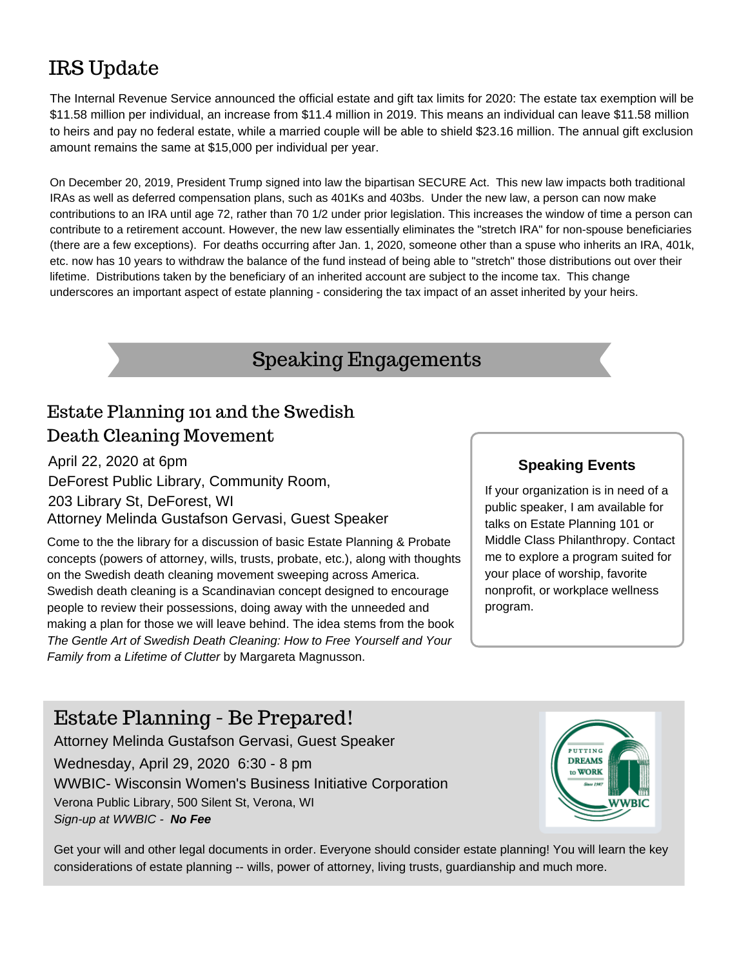## IRS Update

The Internal Revenue Service announced the official estate and gift tax limits for 2020: The estate tax exemption will be \$11.58 million per individual, an increase from \$11.4 million in 2019. This means an individual can leave \$11.58 million to heirs and pay no federal estate, while a married couple will be able to shield \$23.16 million. The annual gift exclusion amount remains the same at \$15,000 per individual per year.

On December 20, 2019, President Trump signed into law the bipartisan SECURE Act. This new law impacts both traditional IRAs as well as deferred compensation plans, such as 401Ks and 403bs. Under the new law, a person can now make contributions to an IRA until age 72, rather than 70 1/2 under prior legislation. This increases the window of time a person can contribute to a retirement account. However, the new law essentially eliminates the "stretch IRA" for non-spouse beneficiaries (there are a few exceptions). For deaths occurring after Jan. 1, 2020, someone other than a spuse who inherits an IRA, 401k, etc. now has 10 years to withdraw the balance of the fund instead of being able to "stretch" those distributions out over their lifetime. Distributions taken by the beneficiary of an inherited account are subject to the income tax. This change underscores an important aspect of estate planning - considering the tax impact of an asset inherited by your heirs.

## Speaking Engagements

### Estate Planning 101 and the Swedish Death Cleaning Movement

P H O T O B Y M A R T I N R . S M I T H

Attorney Melinda Gustafson Gervasi, Guest Speaker April 22, 2020 at 6pm DeForest Public Library, Community Room, 203 Library St, DeForest, WI

Come to the the library for a discussion of basic Estate Planning & Probate concepts (powers of attorney, wills, trusts, probate, etc.), along with thoughts on the Swedish death cleaning movement sweeping across America. Swedish death cleaning is a Scandinavian concept designed to encourage people to review their possessions, doing away with the unneeded and making a plan for those we will leave behind. The idea stems from the book *The Gentle Art of Swedish Death Cleaning: How to Free Yourself and Your Family from a Lifetime of Clutter* by Margareta Magnusson.

#### **Speaking Events**

If your organization is in need of a public speaker, I am available for talks on Estate Planning 101 or Middle Class Philanthropy. Contact me to explore a program suited for your place of worship, favorite nonprofit, or workplace wellness program.

### Estate Planning - Be Prepared!

Attorney Melinda Gustafson Gervasi, Guest Speaker Wednesday, April 29, 2020 6:30 - 8 pm WWBIC- Wisconsin Women's Business Initiative Corporation Verona Public Library, 500 Silent St, Verona, WI *Sign-up at WWBIC - No Fee*



Get your will and other legal documents in order. Everyone should consider estate planning! You will learn the key considerations of estate planning -- wills, power of attorney, living trusts, guardianship and much more.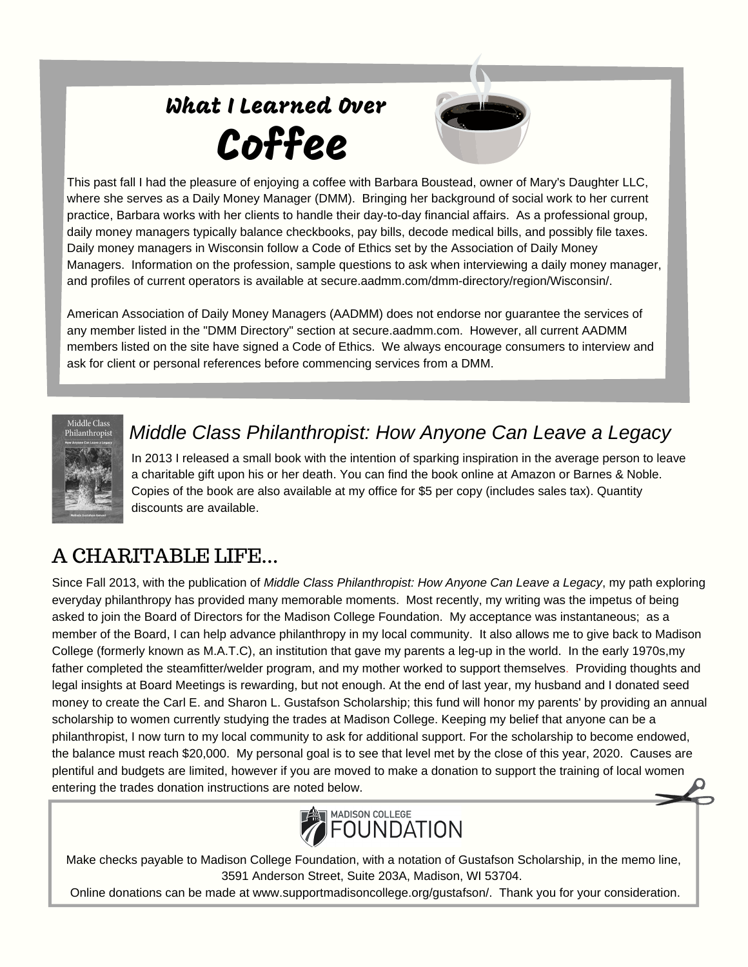# What I Learned Over Coffee



This past fall I had the pleasure of enjoying a coffee with Barbara Boustead, owner of Mary's Daughter LLC, where she serves as a Daily Money Manager (DMM). Bringing her background of social work to her current practice, Barbara works with her clients to handle their day-to-day financial affairs. As a professional group, daily money managers typically balance checkbooks, pay bills, decode medical bills, and possibly file taxes. Daily money managers in Wisconsin follow a Code of Ethics set by the Association of Daily Money Managers. Information on the profession, sample questions to ask when interviewing a daily money manager, and profiles of current operators is available at secure.aadmm.com/dmm-directory/region/Wisconsin/.

American Association of Daily Money Managers (AADMM) does not endorse nor guarantee the services of any member listed in the "DMM Directory" section at secure.aadmm.com. However, all current AADMM members listed on the site have signed a Code of Ethics. We always encourage consumers to interview and ask for client or personal references before commencing services from a DMM.



### *Middle Class Philanthropist: How Anyone Can Leave a Legacy*

In 2013 I released a small book with the intention of sparking inspiration in the average person to leave a charitable gift upon his or her death. You can find the book online at Amazon or Barnes & Noble. Copies of the book are also available at my office for \$5 per copy (includes sales tax). Quantity discounts are available.

## A CHARITABLE LIFE...

Since Fall 2013, with the publication of *Middle Class Philanthropist: How Anyone Can Leave a Legacy*, my path exploring everyday philanthropy has provided many memorable moments. Most recently, my writing was the impetus of being asked to join the Board of Directors for the Madison College Foundation. My acceptance was instantaneous; as a member of the Board, I can help advance philanthropy in my local community. It also allows me to give back to Madison College (formerly known as M.A.T.C), an institution that gave my parents a leg-up in the world. In the early 1970s,my father completed the steamfitter/welder program, and my mother worked to support themselves. Providing thoughts and legal insights at Board Meetings is rewarding, but not enough. At the end of last year, my husband and I donated seed money to create the Carl E. and Sharon L. Gustafson Scholarship; this fund will honor my parents' by providing an annual scholarship to women currently studying the trades at Madison College. Keeping my belief that anyone can be a philanthropist, I now turn to my local community to ask for additional support. For the scholarship to become endowed, the balance must reach \$20,000. My personal goal is to see that level met by the close of this year, 2020. Causes are plentiful and budgets are limited, however if you are moved to make a donation to support the training of local women entering the trades donation instructions are noted below.



Make checks payable to Madison College Foundation, with a notation of Gustafson Scholarship, in the memo line, 3591 Anderson Street, Suite 203A, Madison, WI 53704.

Online donations can be made at www.supportmadisoncollege.org/gustafson/. Thank you for your consideration.